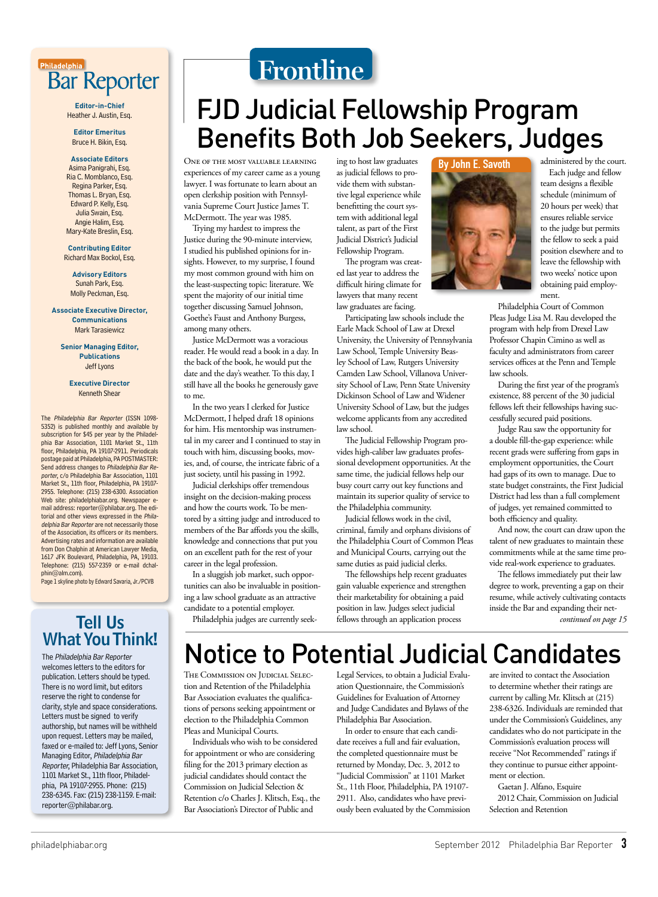

**Editor-in-Chief** Heather J. Austin, Esq.

**Editor Emeritus** Bruce H. Bikin, Esq.

**Associate Editors** Asima Panigrahi, Esq. Ria C. Momblanco, Esq. Regina Parker, Esq. Thomas L. Bryan, Esq. Edward P. Kelly, Esg. Julia Swain, Esq. Angie Halim, Esq. Mary-Kate Breslin, Esq.

**Contributing Editor** Richard Max Bockol, Esq.

**Advisory Editors** Sunah Park, Esq. Molly Peckman, Esq.

**Associate Executive Director, Communications** Mark Tarasiewicz

**Senior Managing Editor, Publications Jeff Lyons** 

> **Executive Director Kenneth Shear**

The Philadelphia Bar Reporter (ISSN 1098-5352) is published monthly and available by<br>subscription for \$45 per year by the Philadelphia Bar Association, 1101 Market St., 11th floor, Philadelphia, PA 19107-2911. Periodicals postage paid at Philadelphia, PA POSTMASTER: Send address changes to Philadelphia Bar Reporter, c/o Philadelphia Bar Association, 1101 Market St., 11th floor, Philadelphia, PA 19107-2955. Telephone: (215) 238-6300. Association<br>Web site: philadelphiabar.org. Newspaper email address: reporter@philabar.org. The editorial and other views expressed in the Philadelphia Bar Reporter are not necessarily those of the Association, its officers or its members. Advertising rates and information are available from Don Chalphin at American Lawyer Media,<br>1617 JFK Boulevard, Philadelphia, PA, 19103. Telephone: (215) 557-2359 or e-mail dchalphin@alm.com).

Page 1 skyline photo by Edward Savaria, Jr./PCVB

### **Tell Us What You Think!**

The Philadelphia Bar Reporter welcomes letters to the editors for publication. Letters should be typed. There is no word limit, but editors reserve the right to condense for clarity, style and space considerations. Letters must be signed to verify authorship, but names will be withheld upon request. Letters may be mailed, faxed or e-mailed to: Jeff Lyons, Senior Managing Editor, Philadelphia Bar Reporter, Philadelphia Bar Association, 1101 Market St., 11th floor, Philadelphia, PA 19107-2955. Phone: (215) 238-6345. Fax: (215) 238-1159. E-mail: reporter@philabar.org.

# Frontline

## **FJD Judicial Fellowship Program Benefits Both Job Seekers, Judges**

ONE OF THE MOST VALUABLE LEARNING experiences of my career came as a young lawyer. I was fortunate to learn about an open clerkship position with Pennsylvania Supreme Court Justice James T. McDermott. The year was 1985.

Trying my hardest to impress the Justice during the 90-minute interview, I studied his published opinions for insights. However, to my surprise, I found my most common ground with him on the least-suspecting topic: literature. We spent the majority of our initial time together discussing Samuel Johnson, Goethe's Faust and Anthony Burgess, among many others.

Justice McDermott was a voracious reader. He would read a book in a day. In the back of the book, he would put the date and the day's weather. To this day, I still have all the books he generously gave to me.

In the two years I clerked for Justice McDermott, I helped draft 18 opinions for him. His mentorship was instrumental in my career and I continued to stay in touch with him, discussing books, movies, and, of course, the intricate fabric of a just society, until his passing in 1992.

Judicial clerkships offer tremendous insight on the decision-making process and how the courts work. To be mentored by a sitting judge and introduced to members of the Bar affords you the skills, knowledge and connections that put you on an excellent path for the rest of your career in the legal profession.

In a sluggish job market, such opportunities can also be invaluable in positioning a law school graduate as an attractive candidate to a potential employer.

ing to host law graduates as judicial fellows to provide them with substantive legal experience while benefitting the court system with additional legal talent, as part of the First Judicial District's Judicial Fellowship Program.

The program was created last year to address the difficult hiring climate for lawyers that many recent law graduates are facing.

Participating law schools include the Earle Mack School of Law at Drexel University, the University of Pennsylvania Law School, Temple University Beasley School of Law, Rutgers University Camden Law School, Villanova University School of Law, Penn State University Dickinson School of Law and Widener University School of Law, but the judges welcome applicants from any accredited law school.

The Judicial Fellowship Program provides high-caliber law graduates professional development opportunities. At the same time, the judicial fellows help our busy court carry out key functions and maintain its superior quality of service to the Philadelphia community.

Judicial fellows work in the civil, criminal, family and orphans divisions of the Philadelphia Court of Common Pleas and Municipal Courts, carrying out the same duties as paid judicial clerks.

The fellowships help recent graduates gain valuable experience and strengthen their marketability for obtaining a paid position in law. Judges select judicial fellows through an application process

By John E. Savoth

administered by the court. Each judge and fellow team designs a flexible schedule (minimum of

20 hours per week) that ensures reliable service to the judge but permits the fellow to seek a paid position elsewhere and to leave the fellowship with two weeks' notice upon obtaining paid employment.

Philadelphia Court of Common Pleas Judge Lisa M. Rau developed the program with help from Drexel Law Professor Chapin Cimino as well as faculty and administrators from career services offices at the Penn and Temple law schools.

During the first year of the program's existence, 88 percent of the 30 judicial fellows left their fellowships having successfully secured paid positions.

Judge Rau saw the opportunity for a double fill-the-gap experience: while recent grads were suffering from gaps in employment opportunities, the Court had gaps of its own to manage. Due to state budget constraints, the First Judicial District had less than a full complement of judges, yet remained committed to both efficiency and quality.

And now, the court can draw upon the talent of new graduates to maintain these commitments while at the same time provide real-work experience to graduates.

The fellows immediately put their law degree to work, preventing a gap on their resume, while actively cultivating contacts inside the Bar and expanding their net-

continued on page 15

Philadelphia judges are currently seek-

# **Notice to Potential Judicial Candidates**

THE COMMISSION ON JUDICIAL SELECtion and Retention of the Philadelphia Bar Association evaluates the qualifications of persons seeking appointment or election to the Philadelphia Common Pleas and Municipal Courts.

Individuals who wish to be considered for appointment or who are considering filing for the 2013 primary election as judicial candidates should contact the Commission on Judicial Selection & Retention c/o Charles J. Klitsch, Esq., the Bar Association's Director of Public and

Legal Services, to obtain a Judicial Evaluation Questionnaire, the Commission's Guidelines for Evaluation of Attorney and Judge Candidates and Bylaws of the Philadelphia Bar Association.

In order to ensure that each candidate receives a full and fair evaluation, the completed questionnaire must be returned by Monday, Dec. 3, 2012 to "Judicial Commission" at 1101 Market St., 11th Floor, Philadelphia, PA 19107-2911. Also, candidates who have previously been evaluated by the Commission are invited to contact the Association to determine whether their ratings are current by calling Mr. Klitsch at (215) 238-6326. Individuals are reminded that under the Commission's Guidelines, any candidates who do not participate in the Commission's evaluation process will receive "Not Recommended" ratings if they continue to pursue either appointment or election.

Gaetan J. Alfano, Esquire 2012 Chair, Commission on Judicial Selection and Retention